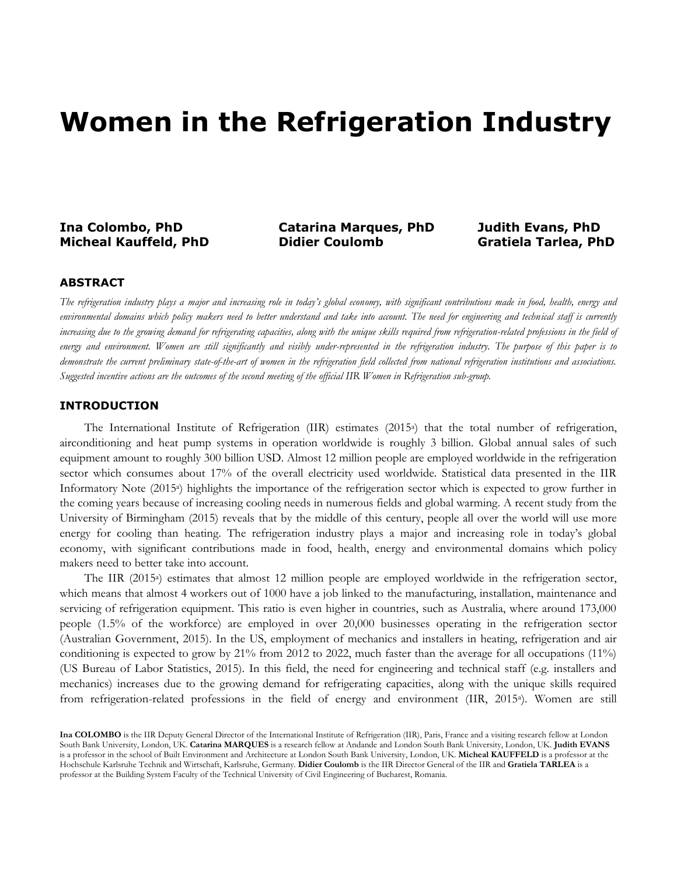# **Women in the Refrigeration Industry**

## **Ina Colombo, PhD Catarina Marques, PhD Judith Evans, PhD**

**Micheal Kauffeld, PhD Didier Coulomb Gratiela Tarlea, PhD**

#### **ABSTRACT**

*The refrigeration industry plays a major and increasing role in today's global economy, with significant contributions made in food, health, energy and environmental domains which policy makers need to better understand and take into account. The need for engineering and technical staff is currently*  increasing due to the growing demand for refrigerating capacities, along with the unique skills required from refrigeration-related professions in the field of *energy and environment. Women are still significantly and visibly under-represented in the refrigeration industry. The purpose of this paper is to demonstrate the current preliminary state-of-the-art of women in the refrigeration field collected from national refrigeration institutions and associations. Suggested incentive actions are the outcomes of the second meeting of the official IIR Women in Refrigeration sub-group.*

#### **INTRODUCTION**

The International Institute of Refrigeration (IIR) estimates (2015a) that the total number of refrigeration, airconditioning and heat pump systems in operation worldwide is roughly 3 billion. Global annual sales of such equipment amount to roughly 300 billion USD. Almost 12 million people are employed worldwide in the refrigeration sector which consumes about 17% of the overall electricity used worldwide. Statistical data presented in the IIR Informatory Note (2015<sup>a</sup>) highlights the importance of the refrigeration sector which is expected to grow further in the coming years because of increasing cooling needs in numerous fields and global warming. A recent study from the University of Birmingham (2015) reveals that by the middle of this century, people all over the world will use more energy for cooling than heating. The refrigeration industry plays a major and increasing role in today's global economy, with significant contributions made in food, health, energy and environmental domains which policy makers need to better take into account.

The IIR (2015a) estimates that almost 12 million people are employed worldwide in the refrigeration sector, which means that almost 4 workers out of 1000 have a job linked to the manufacturing, installation, maintenance and servicing of refrigeration equipment. This ratio is even higher in countries, such as Australia, where around 173,000 people (1.5% of the workforce) are employed in over 20,000 businesses operating in the refrigeration sector (Australian Government, 2015). In the US, employment of mechanics and installers in heating, refrigeration and air conditioning is expected to grow by 21% from 2012 to 2022, much faster than the average for all occupations (11%) (US Bureau of Labor Statistics, 2015). In this field, the need for engineering and technical staff (e.g. installers and mechanics) increases due to the growing demand for refrigerating capacities, along with the unique skills required from refrigeration-related professions in the field of energy and environment (IIR, 2015a). Women are still

**Ina COLOMBO** is the IIR Deputy General Director of the International Institute of Refrigeration (IIR), Paris, France and a visiting research fellow at London South Bank University, London, UK. **Catarina MARQUES** is a research fellow at Andande and London South Bank University, London, UK. **Judith EVANS** is a professor in the school of Built Environment and Architecture at London South Bank University, London, UK. **Micheal KAUFFELD** is a professor at the Hochschule Karlsruhe Technik and Wirtschaft, Karlsruhe, Germany. **Didier Coulomb** is the IIR Director General of the IIR and **Gratiela TARLEA** is a professor at the Building System Faculty of the Technical University of Civil Engineering of Bucharest, Romania.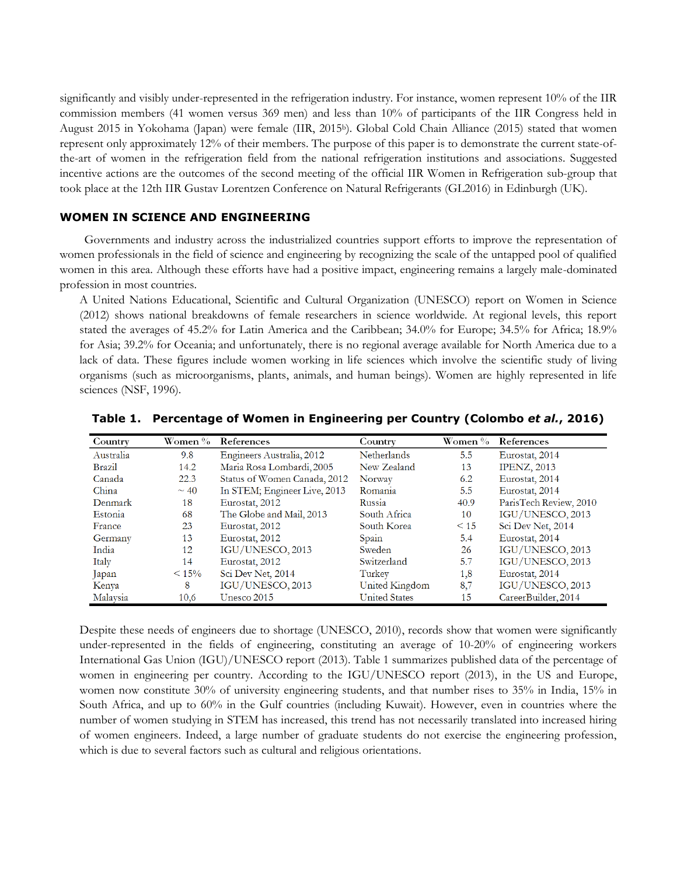significantly and visibly under-represented in the refrigeration industry. For instance, women represent 10% of the IIR commission members (41 women versus 369 men) and less than 10% of participants of the IIR Congress held in August 2015 in Yokohama (Japan) were female (IIR, 2015b). Global Cold Chain Alliance (2015) stated that women represent only approximately 12% of their members. The purpose of this paper is to demonstrate the current state-ofthe-art of women in the refrigeration field from the national refrigeration institutions and associations. Suggested incentive actions are the outcomes of the second meeting of the official IIR Women in Refrigeration sub-group that took place at the 12th IIR Gustav Lorentzen Conference on Natural Refrigerants (GL2016) in Edinburgh (UK).

#### **WOMEN IN SCIENCE AND ENGINEERING**

Governments and industry across the industrialized countries support efforts to improve the representation of women professionals in the field of science and engineering by recognizing the scale of the untapped pool of qualified women in this area. Although these efforts have had a positive impact, engineering remains a largely male-dominated profession in most countries.

A United Nations Educational, Scientific and Cultural Organization (UNESCO) report on Women in Science (2012) shows national breakdowns of female researchers in science worldwide. At regional levels, this report stated the averages of 45.2% for Latin America and the Caribbean; 34.0% for Europe; 34.5% for Africa; 18.9% for Asia; 39.2% for Oceania; and unfortunately, there is no regional average available for North America due to a lack of data. These figures include women working in life sciences which involve the scientific study of living organisms (such as microorganisms, plants, animals, and human beings). Women are highly represented in life sciences (NSF, 1996).

| Country       | Women %   | References                   | Country              | Women %   | References             |
|---------------|-----------|------------------------------|----------------------|-----------|------------------------|
| Australia     | 9.8       | Engineers Australia, 2012    | <b>Netherlands</b>   | 5.5       | Eurostat, 2014         |
| <b>Brazil</b> | 14.2      | Maria Rosa Lombardi, 2005    | New Zealand          | 13        | <b>IPENZ, 2013</b>     |
| Canada        | 22.3      | Status of Women Canada, 2012 | Norway               | 6.2       | Eurostat, 2014         |
| China         | $\sim$ 40 | In STEM; Engineer Live, 2013 | Romania              | 5.5       | Eurostat, 2014         |
| Denmark       | 18        | Eurostat, 2012               | Russia               | 40.9      | ParisTech Review, 2010 |
| Estonia       | 68        | The Globe and Mail, 2013     | South Africa         | 10        | IGU/UNESCO, 2013       |
| France        | 23        | Eurostat, 2012               | South Korea          | $\leq 15$ | Sci Dev Net, 2014      |
| Germany       | 13        | Eurostat, 2012               | Spain                | 5.4       | Eurostat, 2014         |
| India         | 12        | IGU/UNESCO, 2013             | Sweden               | 26        | IGU/UNESCO, 2013       |
| Italy         | 14        | Eurostat, 2012               | Switzerland          | 5.7       | IGU/UNESCO, 2013       |
| Japan         | < 15%     | Sci Dev Net, 2014            | Turkey               | 1,8       | Eurostat, 2014         |
| Kenya         | 8         | IGU/UNESCO, 2013             | United Kingdom       | 8,7       | IGU/UNESCO, 2013       |
| Malaysia      | 10,6      | Unesco 2015                  | <b>United States</b> | 15        | CareerBuilder, 2014    |

**Table 1. Percentage of Women in Engineering per Country (Colombo** *et al.***, 2016)**

Despite these needs of engineers due to shortage (UNESCO, 2010), records show that women were significantly under-represented in the fields of engineering, constituting an average of 10-20% of engineering workers International Gas Union (IGU)/UNESCO report (2013). Table 1 summarizes published data of the percentage of women in engineering per country. According to the IGU/UNESCO report (2013), in the US and Europe, women now constitute 30% of university engineering students, and that number rises to 35% in India, 15% in South Africa, and up to 60% in the Gulf countries (including Kuwait). However, even in countries where the number of women studying in STEM has increased, this trend has not necessarily translated into increased hiring of women engineers. Indeed, a large number of graduate students do not exercise the engineering profession, which is due to several factors such as cultural and religious orientations.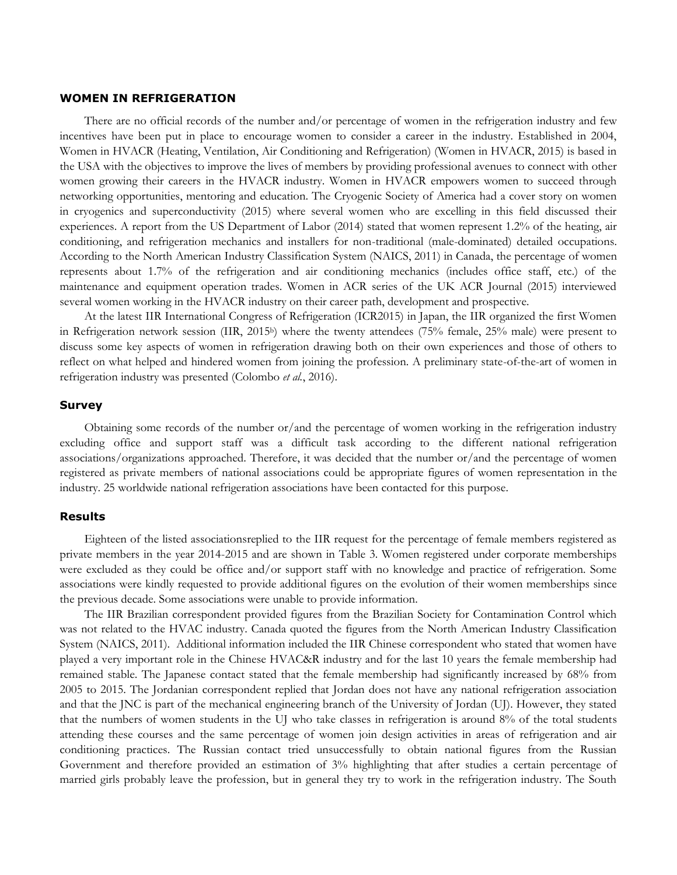#### **WOMEN IN REFRIGERATION**

There are no official records of the number and/or percentage of women in the refrigeration industry and few incentives have been put in place to encourage women to consider a career in the industry. Established in 2004, Women in HVACR (Heating, Ventilation, Air Conditioning and Refrigeration) (Women in HVACR, 2015) is based in the USA with the objectives to improve the lives of members by providing professional avenues to connect with other women growing their careers in the HVACR industry. Women in HVACR empowers women to succeed through networking opportunities, mentoring and education. The Cryogenic Society of America had a cover story on women in cryogenics and superconductivity (2015) where several women who are excelling in this field discussed their experiences. A report from the US Department of Labor (2014) stated that women represent 1.2% of the heating, air conditioning, and refrigeration mechanics and installers for non-traditional (male-dominated) detailed occupations. According to the North American Industry Classification System (NAICS, 2011) in Canada, the percentage of women represents about 1.7% of the refrigeration and air conditioning mechanics (includes office staff, etc.) of the maintenance and equipment operation trades. Women in ACR series of the UK ACR Journal (2015) interviewed several women working in the HVACR industry on their career path, development and prospective.

At the latest IIR International Congress of Refrigeration (ICR2015) in Japan, the IIR organized the first Women in Refrigeration network session (IIR, 2015b) where the twenty attendees (75% female, 25% male) were present to discuss some key aspects of women in refrigeration drawing both on their own experiences and those of others to reflect on what helped and hindered women from joining the profession. A preliminary state-of-the-art of women in refrigeration industry was presented (Colombo *et al.*, 2016).

#### **Survey**

Obtaining some records of the number or/and the percentage of women working in the refrigeration industry excluding office and support staff was a difficult task according to the different national refrigeration associations/organizations approached. Therefore, it was decided that the number or/and the percentage of women registered as private members of national associations could be appropriate figures of women representation in the industry. 25 worldwide national refrigeration associations have been contacted for this purpose.

#### **Results**

Eighteen of the listed associationsreplied to the IIR request for the percentage of female members registered as private members in the year 2014-2015 and are shown in Table 3. Women registered under corporate memberships were excluded as they could be office and/or support staff with no knowledge and practice of refrigeration. Some associations were kindly requested to provide additional figures on the evolution of their women memberships since the previous decade. Some associations were unable to provide information.

The IIR Brazilian correspondent provided figures from the Brazilian Society for Contamination Control which was not related to the HVAC industry. Canada quoted the figures from the North American Industry Classification System (NAICS, 2011). Additional information included the IIR Chinese correspondent who stated that women have played a very important role in the Chinese HVAC&R industry and for the last 10 years the female membership had remained stable. The Japanese contact stated that the female membership had significantly increased by 68% from 2005 to 2015. The Jordanian correspondent replied that Jordan does not have any national refrigeration association and that the JNC is part of the mechanical engineering branch of the University of Jordan (UJ). However, they stated that the numbers of women students in the UJ who take classes in refrigeration is around 8% of the total students attending these courses and the same percentage of women join design activities in areas of refrigeration and air conditioning practices. The Russian contact tried unsuccessfully to obtain national figures from the Russian Government and therefore provided an estimation of 3% highlighting that after studies a certain percentage of married girls probably leave the profession, but in general they try to work in the refrigeration industry. The South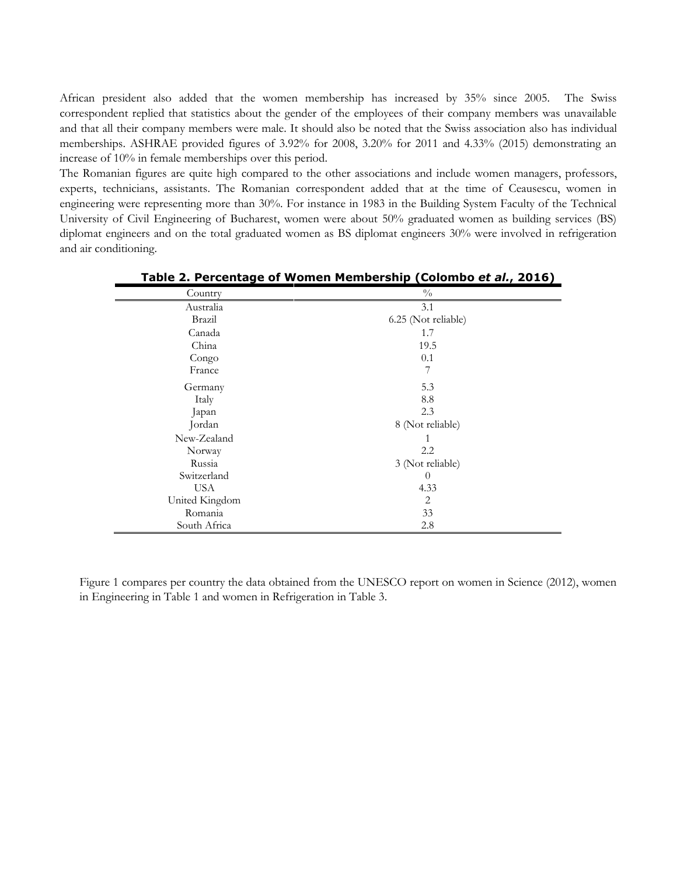African president also added that the women membership has increased by 35% since 2005. The Swiss correspondent replied that statistics about the gender of the employees of their company members was unavailable and that all their company members were male. It should also be noted that the Swiss association also has individual memberships. ASHRAE provided figures of 3.92% for 2008, 3.20% for 2011 and 4.33% (2015) demonstrating an increase of 10% in female memberships over this period.

The Romanian figures are quite high compared to the other associations and include women managers, professors, experts, technicians, assistants. The Romanian correspondent added that at the time of Ceausescu, women in engineering were representing more than 30%. For instance in 1983 in the Building System Faculty of the Technical University of Civil Engineering of Bucharest, women were about 50% graduated women as building services (BS) diplomat engineers and on the total graduated women as BS diplomat engineers 30% were involved in refrigeration and air conditioning.

| Country        | $\frac{0}{0}$       |  |
|----------------|---------------------|--|
| Australia      | 3.1                 |  |
| Brazil         | 6.25 (Not reliable) |  |
| Canada         | 1.7                 |  |
| China          | 19.5                |  |
| Congo          | 0.1                 |  |
| France         | 7                   |  |
| Germany        | 5.3                 |  |
| Italy          | 8.8                 |  |
| Japan          | 2.3                 |  |
| Jordan         | 8 (Not reliable)    |  |
| New-Zealand    |                     |  |
| Norway         | 2.2                 |  |
| Russia         | 3 (Not reliable)    |  |
| Switzerland    | $\theta$            |  |
| <b>USA</b>     | 4.33                |  |
| United Kingdom | 2                   |  |
| Romania        | 33                  |  |
| South Africa   | 2.8                 |  |

**Table 2. Percentage of Women Membership (Colombo** *et al.***, 2016)**

Figure 1 compares per country the data obtained from the UNESCO report on women in Science (2012), women in Engineering in Table 1 and women in Refrigeration in Table 3.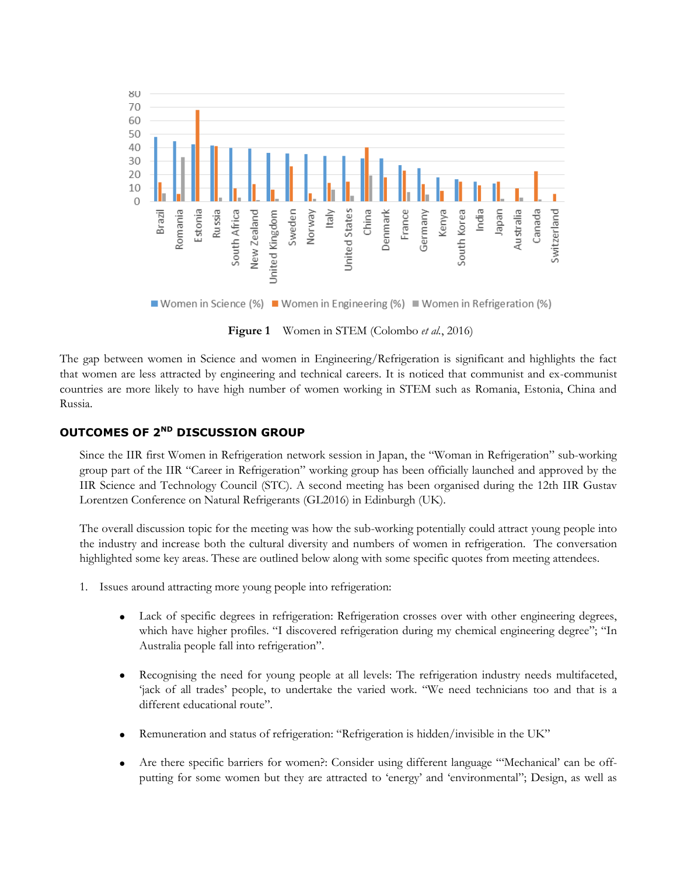

■ Women in Science (%) ■ Women in Engineering (%) ■ Women in Refrigeration (%)

**Figure 1** Women in STEM (Colombo *et al.*, 2016)

The gap between women in Science and women in Engineering/Refrigeration is significant and highlights the fact that women are less attracted by engineering and technical careers. It is noticed that communist and ex-communist countries are more likely to have high number of women working in STEM such as Romania, Estonia, China and Russia.

## **OUTCOMES OF 2ND DISCUSSION GROUP**

Since the IIR first Women in Refrigeration network session in Japan, the "Woman in Refrigeration" sub-working group part of the IIR "Career in Refrigeration" working group has been officially launched and approved by the IIR Science and Technology Council (STC). A second meeting has been organised during the 12th IIR Gustav Lorentzen Conference on Natural Refrigerants (GL2016) in Edinburgh (UK).

The overall discussion topic for the meeting was how the sub-working potentially could attract young people into the industry and increase both the cultural diversity and numbers of women in refrigeration. The conversation highlighted some key areas. These are outlined below along with some specific quotes from meeting attendees.

- 1. Issues around attracting more young people into refrigeration:
	- Lack of specific degrees in refrigeration: Refrigeration crosses over with other engineering degrees, which have higher profiles. "I discovered refrigeration during my chemical engineering degree"; "In Australia people fall into refrigeration".
	- Recognising the need for young people at all levels: The refrigeration industry needs multifaceted, 'jack of all trades' people, to undertake the varied work. "We need technicians too and that is a different educational route".
	- Remuneration and status of refrigeration: "Refrigeration is hidden/invisible in the UK"
	- Are there specific barriers for women?: Consider using different language "'Mechanical' can be offputting for some women but they are attracted to 'energy' and 'environmental"; Design, as well as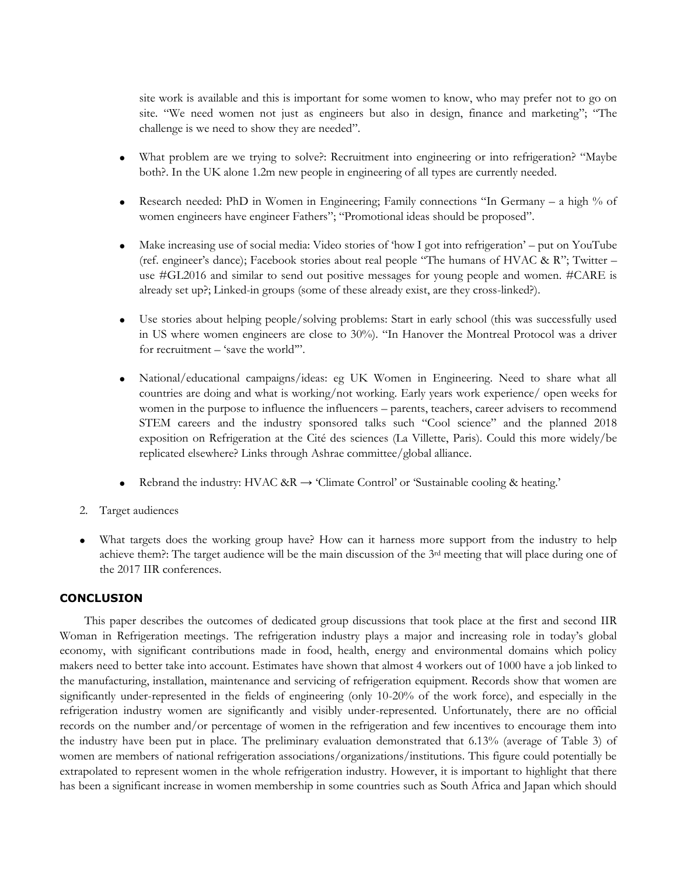site work is available and this is important for some women to know, who may prefer not to go on site. "We need women not just as engineers but also in design, finance and marketing"; "The challenge is we need to show they are needed".

- What problem are we trying to solve?: Recruitment into engineering or into refrigeration? "Maybe both?. In the UK alone 1.2m new people in engineering of all types are currently needed.
- **•** Research needed: PhD in Women in Engineering; Family connections "In Germany a high % of women engineers have engineer Fathers"; "Promotional ideas should be proposed".
- Make increasing use of social media: Video stories of 'how I got into refrigeration' put on YouTube (ref. engineer's dance); Facebook stories about real people "The humans of HVAC & R"; Twitter – use #GL2016 and similar to send out positive messages for young people and women. #CARE is already set up?; Linked-in groups (some of these already exist, are they cross-linked?).
- Use stories about helping people/solving problems: Start in early school (this was successfully used in US where women engineers are close to 30%). "In Hanover the Montreal Protocol was a driver for recruitment – 'save the world'".
- National/educational campaigns/ideas: eg UK Women in Engineering. Need to share what all countries are doing and what is working/not working. Early years work experience/ open weeks for women in the purpose to influence the influencers – parents, teachers, career advisers to recommend STEM careers and the industry sponsored talks such "Cool science" and the planned 2018 exposition on Refrigeration at the Cité des sciences (La Villette, Paris). Could this more widely/be replicated elsewhere? Links through Ashrae committee/global alliance.
- Rebrand the industry: HVAC &R  $\rightarrow$  'Climate Control' or 'Sustainable cooling & heating.'
- 2. Target audiences
- What targets does the working group have? How can it harness more support from the industry to help achieve them?: The target audience will be the main discussion of the 3rd meeting that will place during one of the 2017 IIR conferences.

## **CONCLUSION**

This paper describes the outcomes of dedicated group discussions that took place at the first and second IIR Woman in Refrigeration meetings. The refrigeration industry plays a major and increasing role in today's global economy, with significant contributions made in food, health, energy and environmental domains which policy makers need to better take into account. Estimates have shown that almost 4 workers out of 1000 have a job linked to the manufacturing, installation, maintenance and servicing of refrigeration equipment. Records show that women are significantly under-represented in the fields of engineering (only 10-20% of the work force), and especially in the refrigeration industry women are significantly and visibly under-represented. Unfortunately, there are no official records on the number and/or percentage of women in the refrigeration and few incentives to encourage them into the industry have been put in place. The preliminary evaluation demonstrated that 6.13% (average of Table 3) of women are members of national refrigeration associations/organizations/institutions. This figure could potentially be extrapolated to represent women in the whole refrigeration industry. However, it is important to highlight that there has been a significant increase in women membership in some countries such as South Africa and Japan which should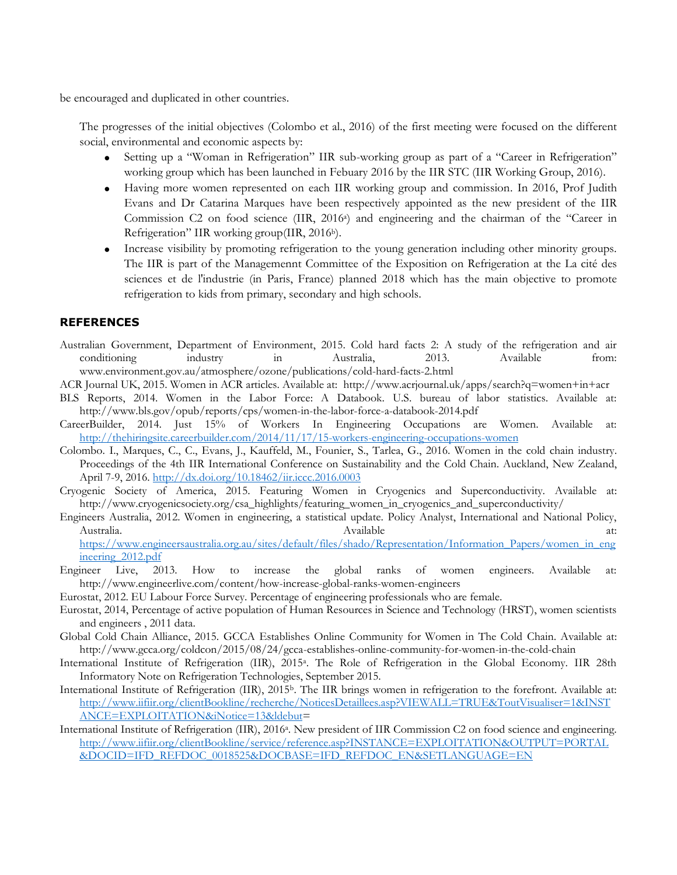be encouraged and duplicated in other countries.

The progresses of the initial objectives (Colombo et al., 2016) of the first meeting were focused on the different social, environmental and economic aspects by:

- x Setting up a "Woman in Refrigeration" IIR sub-working group as part of a "Career in Refrigeration" working group which has been launched in Febuary 2016 by the IIR STC (IIR Working Group, 2016).
- Having more women represented on each IIR working group and commission. In 2016, Prof Judith Evans and Dr Catarina Marques have been respectively appointed as the new president of the IIR Commission C2 on food science (IIR, 2016a) and engineering and the chairman of the "Career in Refrigeration" IIR working group(IIR, 2016b).
- Increase visibility by promoting refrigeration to the young generation including other minority groups. The IIR is part of the Managemennt Committee of the Exposition on Refrigeration at the La cité des sciences et de l'industrie (in Paris, France) planned 2018 which has the main objective to promote refrigeration to kids from primary, secondary and high schools.

## **REFERENCES**

- Australian Government, Department of Environment, 2015. Cold hard facts 2: A study of the refrigeration and air conditioning industry in Australia, 2013. Available from: www.environment.gov.au/atmosphere/ozone/publications/cold-hard-facts-2.html
- ACR Journal UK, 2015. Women in ACR articles. Available at: http://www.acrjournal.uk/apps/search?q=women+in+acr
- BLS Reports, 2014. Women in the Labor Force: A Databook. U.S. bureau of labor statistics. Available at: http://www.bls.gov/opub/reports/cps/women-in-the-labor-force-a-databook-2014.pdf
- CareerBuilder, 2014. Just 15% of Workers In Engineering Occupations are Women. Available at: <http://thehiringsite.careerbuilder.com/2014/11/17/15-workers-engineering-occupations-women>
- Colombo. I., Marques, C., C., Evans, J., Kauffeld, M., Founier, S., Tarlea, G., 2016. Women in the cold chain industry. Proceedings of the 4th IIR International Conference on Sustainability and the Cold Chain. Auckland, New Zealand, April 7-9, 2016. <http://dx.doi.org/10.18462/iir.iccc.2016.0003>
- Cryogenic Society of America, 2015. Featuring Women in Cryogenics and Superconductivity. Available at: http://www.cryogenicsociety.org/csa\_highlights/featuring\_women\_in\_cryogenics\_and\_superconductivity/
- Engineers Australia, 2012. Women in engineering, a statistical update. Policy Analyst, International and National Policy, Australia. Available at: [https://www.engineersaustralia.org.au/sites/default/files/shado/Representation/Information\\_Papers/women\\_in\\_eng](https://www.engineersaustralia.org.au/sites/default/files/shado/Representation/Information_Papers/women_in_engineering_2012.pdf)

ineering 2012.pdf

- Engineer Live, 2013. How to increase the global ranks of women engineers. Available at: http://www.engineerlive.com/content/how-increase-global-ranks-women-engineers
- Eurostat, 2012. EU Labour Force Survey. Percentage of engineering professionals who are female.
- Eurostat, 2014, Percentage of active population of Human Resources in Science and Technology (HRST), women scientists and engineers , 2011 data.
- Global Cold Chain Alliance, 2015. GCCA Establishes Online Community for Women in The Cold Chain. Available at: http://www.gcca.org/coldcon/2015/08/24/gcca-establishes-online-community-for-women-in-the-cold-chain
- International Institute of Refrigeration (IIR), 2015a. The Role of Refrigeration in the Global Economy. IIR 28th Informatory Note on Refrigeration Technologies, September 2015.
- International Institute of Refrigeration (IIR), 2015<sup>b</sup>. The IIR brings women in refrigeration to the forefront. Available at: [http://www.iifiir.org/clientBookline/recherche/NoticesDetaillees.asp?VIEWALL=TRUE&ToutVisualiser=1&INST](http://www.iifiir.org/clientBookline/recherche/NoticesDetaillees.asp?VIEWALL=TRUE&ToutVisualiser=1&INSTANCE=EXPLOITATION&iNotice=13&ldebut) [ANCE=EXPLOITATION&iNotice=13&ldebut=](http://www.iifiir.org/clientBookline/recherche/NoticesDetaillees.asp?VIEWALL=TRUE&ToutVisualiser=1&INSTANCE=EXPLOITATION&iNotice=13&ldebut)
- International Institute of Refrigeration (IIR), 2016a. New president of IIR Commission C2 on food science and engineering. [http://www.iifiir.org/clientBookline/service/reference.asp?INSTANCE=EXPLOITATION&OUTPUT=PORTAL](http://www.iifiir.org/clientBookline/service/reference.asp?INSTANCE=EXPLOITATION&OUTPUT=PORTAL&DOCID=IFD_REFDOC_0018525&DOCBASE=IFD_REFDOC_EN&SETLANGUAGE=EN) [&DOCID=IFD\\_REFDOC\\_0018525&DOCBASE=IFD\\_REFDOC\\_EN&SETLANGUAGE=EN](http://www.iifiir.org/clientBookline/service/reference.asp?INSTANCE=EXPLOITATION&OUTPUT=PORTAL&DOCID=IFD_REFDOC_0018525&DOCBASE=IFD_REFDOC_EN&SETLANGUAGE=EN)